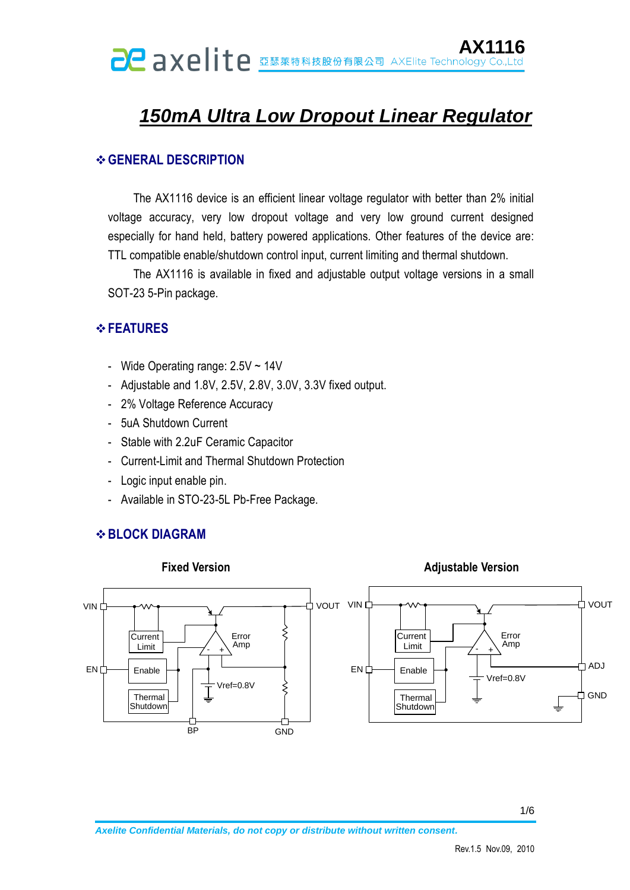# *150mA Ultra Low Dropout Linear Regulator*

### **GENERAL DESCRIPTION**

The AX1116 device is an efficient linear voltage regulator with better than 2% initial voltage accuracy, very low dropout voltage and very low ground current designed especially for hand held, battery powered applications. Other features of the device are: TTL compatible enable/shutdown control input, current limiting and thermal shutdown.

The AX1116 is available in fixed and adjustable output voltage versions in a small SOT-23 5-Pin package.

### *<b>∻FEATURES*

- Wide Operating range: 2.5V ~ 14V
- Adjustable and 1.8V, 2.5V, 2.8V, 3.0V, 3.3V fixed output.
- 2% Voltage Reference Accuracy
- 5uA Shutdown Current
- Stable with 2.2uF Ceramic Capacitor
- Current-Limit and Thermal Shutdown Protection
- Logic input enable pin.
- Available in STO-23-5L Pb-Free Package.

# **BLOCK DIAGRAM**

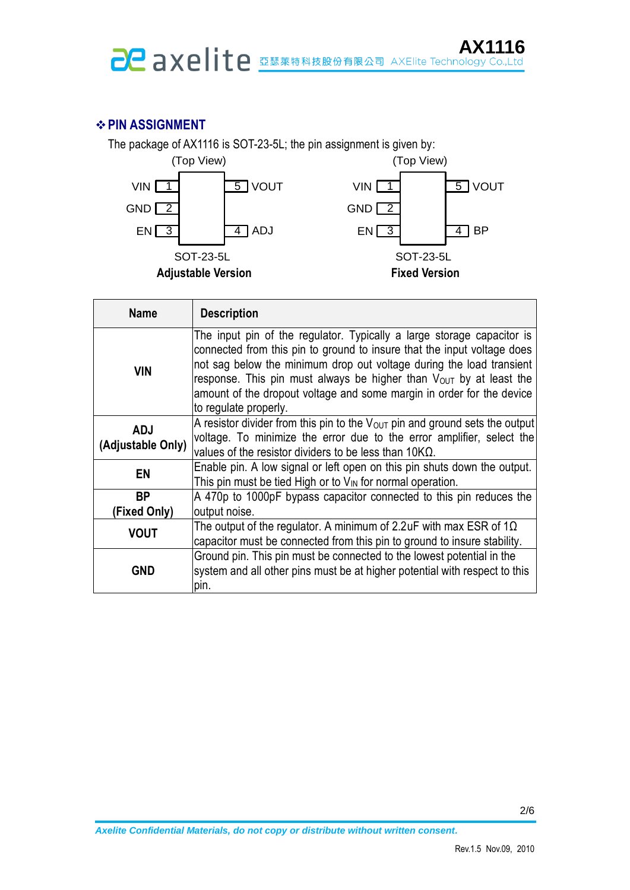# **PIN ASSIGNMENT**

The package of AX1116 is SOT-23-5L; the pin assignment is given by:



| <b>Name</b>                     | <b>Description</b>                                                                                                                                                                                                                                                                                                                                                                                |
|---------------------------------|---------------------------------------------------------------------------------------------------------------------------------------------------------------------------------------------------------------------------------------------------------------------------------------------------------------------------------------------------------------------------------------------------|
| <b>VIN</b>                      | The input pin of the regulator. Typically a large storage capacitor is<br>connected from this pin to ground to insure that the input voltage does<br>not sag below the minimum drop out voltage during the load transient<br>response. This pin must always be higher than Vout by at least the<br>amount of the dropout voltage and some margin in order for the device<br>to regulate properly. |
| <b>ADJ</b><br>(Adjustable Only) | A resistor divider from this pin to the $V_{\text{OUT}}$ pin and ground sets the output<br>voltage. To minimize the error due to the error amplifier, select the<br>values of the resistor dividers to be less than $10K\Omega$ .                                                                                                                                                                 |
| EN                              | Enable pin. A low signal or left open on this pin shuts down the output.<br>This pin must be tied High or to $V_{\text{IN}}$ for normal operation.                                                                                                                                                                                                                                                |
| <b>BP</b><br>(Fixed Only)       | A 470p to 1000pF bypass capacitor connected to this pin reduces the<br>output noise.                                                                                                                                                                                                                                                                                                              |
| <b>VOUT</b>                     | The output of the regulator. A minimum of 2.2uF with max ESR of $1\Omega$<br>capacitor must be connected from this pin to ground to insure stability.                                                                                                                                                                                                                                             |
| <b>GND</b>                      | Ground pin. This pin must be connected to the lowest potential in the<br>system and all other pins must be at higher potential with respect to this<br>pin.                                                                                                                                                                                                                                       |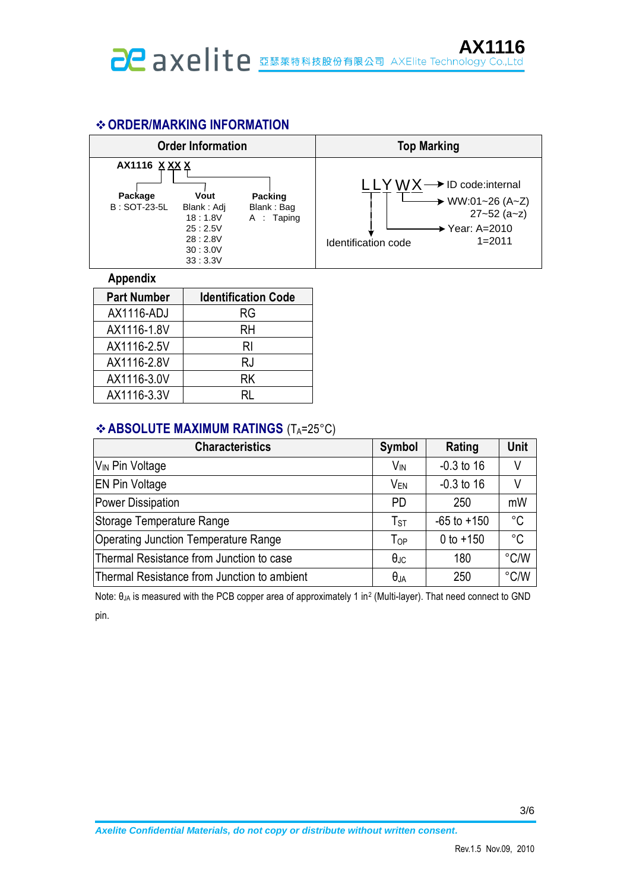### **ORDER/MARKING INFORMATION**



#### **Appendix**

| <b>Part Number</b> | <b>Identification Code</b> |
|--------------------|----------------------------|
| AX1116-ADJ         | RG                         |
| AX1116-1.8V        | RH                         |
| AX1116-2.5V        | RI                         |
| AX1116-2.8V        | RJ                         |
| AX1116-3.0V        | RK                         |
| AX1116-3.3V        |                            |

### **ABSOLUTE MAXIMUM RATINGS (TA=25°C)**

| <b>Characteristics</b>                      | <b>Symbol</b>         | Rating          | Unit          |
|---------------------------------------------|-----------------------|-----------------|---------------|
| V <sub>IN</sub> Pin Voltage                 | <b>V<sub>IN</sub></b> | $-0.3$ to 16    | V             |
| <b>EN Pin Voltage</b>                       | V <sub>EN</sub>       | $-0.3$ to 16    | V             |
| Power Dissipation                           | <b>PD</b>             | 250             | mW            |
| Storage Temperature Range                   | $T_{ST}$              | $-65$ to $+150$ | $^{\circ}C$   |
| Operating Junction Temperature Range        | ToP                   | 0 to $+150$     | $^{\circ}C$   |
| Thermal Resistance from Junction to case    | $\theta_{\text{JC}}$  | 180             | $\degree$ C/W |
| Thermal Resistance from Junction to ambient | $\theta_{JA}$         | 250             | $\degree$ C/W |

Note: θ<sub>JA</sub> is measured with the PCB copper area of approximately 1 in<sup>2</sup> (Multi-layer). That need connect to GND pin.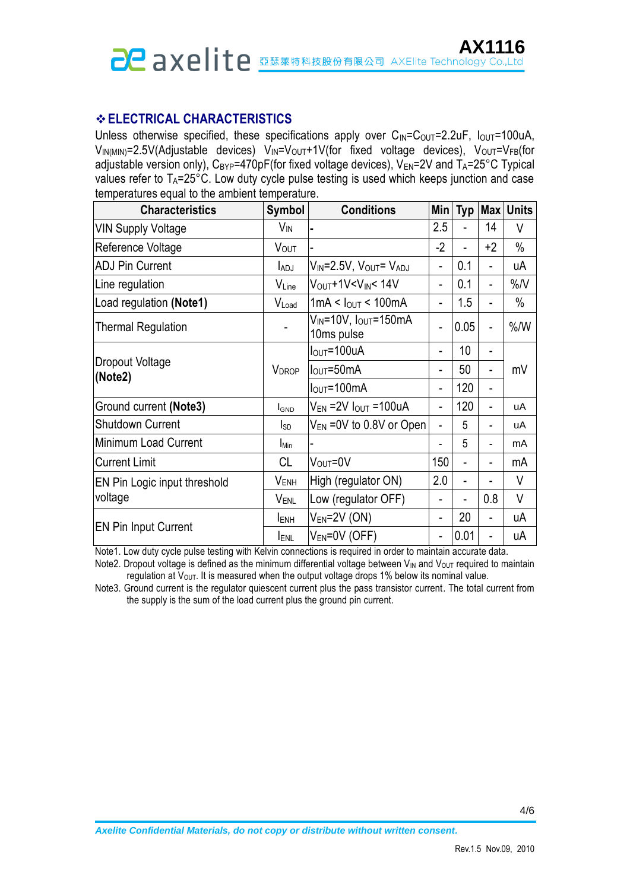# **ELECTRICAL CHARACTERISTICS**

Unless otherwise specified, these specifications apply over  $C_{\text{IN}}=C_{\text{OUT}}=2.2\text{uF}$ ,  $I_{\text{OUT}}=100\text{uA}$ ,  $V_{IN(MIN)}=2.5V($ Adjustable devices)  $V_{IN}=V_{OUT}+1V($  for fixed voltage devices),  $V_{OUT}=V_{FB}($  for adjustable version only),  $C_{BYP}$ =470pF(for fixed voltage devices),  $V_{EN}$ =2V and  $T_A$ =25°C Typical values refer to  $T_A = 25^\circ \text{C}$ . Low duty cycle pulse testing is used which keeps junction and case temperatures equal to the ambient temperature.

| <b>Characteristics</b>                                                     | Symbol                                                                    | <b>Conditions</b>                              |                          |                |                          | Min Typ Max Units |
|----------------------------------------------------------------------------|---------------------------------------------------------------------------|------------------------------------------------|--------------------------|----------------|--------------------------|-------------------|
| <b>VIN Supply Voltage</b>                                                  | V <sub>IN</sub>                                                           |                                                | 2.5                      |                | 14                       | V                 |
| Reference Voltage                                                          | VOUT                                                                      |                                                | $-2$                     | $\blacksquare$ | $+2$                     | $\%$              |
| <b>ADJ Pin Current</b>                                                     | V <sub>IN</sub> =2.5V, V <sub>OUT</sub> = V <sub>ADJ</sub><br><b>LADJ</b> |                                                | $\overline{a}$           | 0.1            |                          | uА                |
| Line regulation                                                            | VLine                                                                     | V <sub>OUT</sub> +1V <v<sub>IN&lt; 14V</v<sub> |                          | 0.1            | $\overline{\phantom{0}}$ | $\%$ /V           |
| Load regulation (Note1)                                                    | VLoad                                                                     | 1mA < I <sub>OUT</sub> < 100mA                 | $\overline{a}$           | 1.5            |                          | $\%$              |
| $V_{\text{IN}}$ =10V, l <sub>OUT</sub> =150mA<br><b>Thermal Regulation</b> |                                                                           | 10ms pulse                                     | L,                       | 0.05           |                          | % /W              |
|                                                                            | <b>VDROP</b>                                                              | $I_{\text{OUT}} = 100$ uA                      | 10<br>$\overline{a}$     |                |                          |                   |
| Dropout Voltage<br>(Note2)                                                 |                                                                           | $IOUT=50mA$                                    | $\blacksquare$           | 50             |                          | mV                |
|                                                                            |                                                                           | $I_{\text{OUT}} = 100 \text{mA}$               | $\blacksquare$           | 120            |                          |                   |
| Ground current (Note3)                                                     | <b>I</b> GND                                                              | $V_{EN}$ = 2V $I_{OUT}$ = 100uA                | $\blacksquare$           | 120            |                          | uA                |
| <b>Shutdown Current</b>                                                    | I <sub>SD</sub>                                                           | $V_{EN}$ =0V to 0.8V or Open                   | ÷,                       | 5              |                          | uA                |
| Minimum Load Current                                                       | <b>I</b> Min                                                              |                                                |                          | 5              |                          | mA                |
| <b>Current Limit</b>                                                       | <b>CL</b>                                                                 | V <sub>OUT</sub> =0V                           | 150                      |                |                          | mA                |
| EN Pin Logic input threshold                                               | V <sub>ENH</sub>                                                          | High (regulator ON)                            | 2.0                      |                |                          | V                 |
| voltage                                                                    | V <sub>ENL</sub>                                                          | Low (regulator OFF)                            |                          |                | 0.8                      | V                 |
|                                                                            | <b>IENH</b>                                                               | $V_{EN}$ =2V (ON)                              | $\overline{\phantom{a}}$ | 20             |                          | uA                |
| <b>EN Pin Input Current</b>                                                | <b>IENL</b>                                                               | $V_{EN} = 0V$ (OFF)                            | $\overline{\phantom{0}}$ | 0.01           |                          | uA                |

Note1. Low duty cycle pulse testing with Kelvin connections is required in order to maintain accurate data.

Note2. Dropout voltage is defined as the minimum differential voltage between  $V_{IN}$  and  $V_{OUT}$  required to maintain  $r$ egulation at  $V<sub>OUT</sub>$ . It is measured when the output voltage drops 1% below its nominal value.

Note3. Ground current is the regulator quiescent current plus the pass transistor current. The total current from the supply is the sum of the load current plus the ground pin current.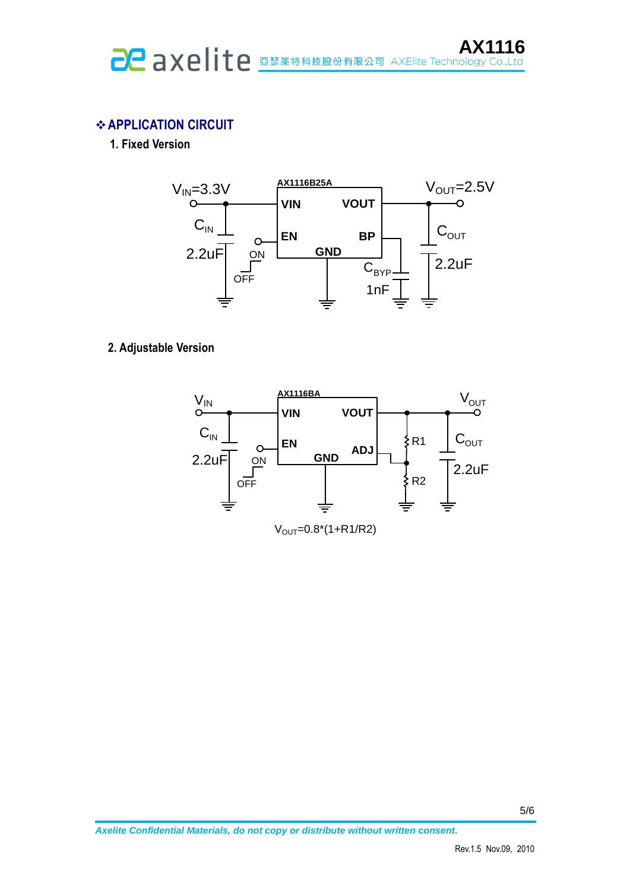# **APPLICATION CIRCUIT**

**1. Fixed Version**



### **2. Adjustable Version**



 $V_{OUT}=0.8*(1+R1/R2)$